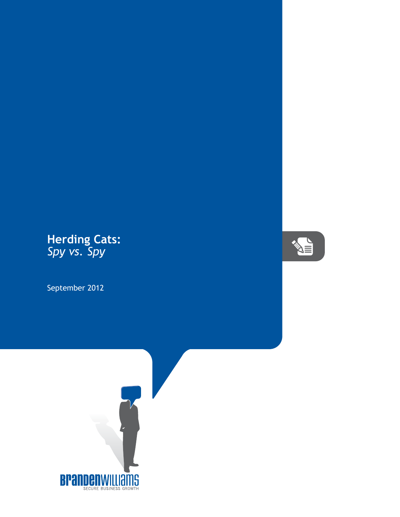## **Herding Cats:** *Spy vs. Spy*

September 2012



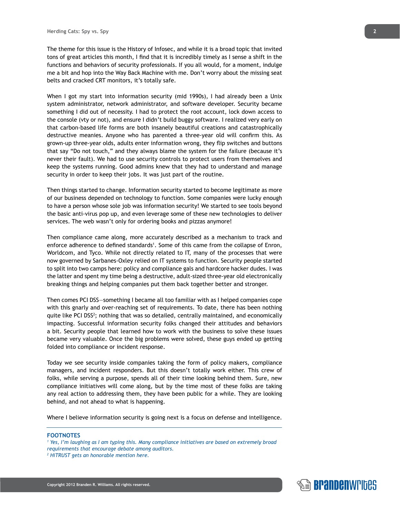The theme for this issue is the History of Infosec, and while it is a broad topic that invited tons of great articles this month, I find that it is incredibly timely as I sense a shift in the functions and behaviors of security professionals. If you all would, for a moment, indulge me a bit and hop into the Way Back Machine with me. Don't worry about the missing seat belts and cracked CRT monitors, it's totally safe.

When I got my start into information security (mid 1990s), I had already been a Unix system administrator, network administrator, and software developer. Security became something I did out of necessity. I had to protect the root account, lock down access to the console (vty or not), and ensure I didn't build buggy software. I realized very early on that carbon-based life forms are both insanely beautiful creations and catastrophically destructive meanies. Anyone who has parented a three-year old will confirm this. As grown-up three-year olds, adults enter information wrong, they flip switches and buttons that say "Do not touch," and they always blame the system for the failure (because it's never their fault). We had to use security controls to protect users from themselves and keep the systems running. Good admins knew that they had to understand and manage security in order to keep their jobs. It was just part of the routine.

Then things started to change. Information security started to become legitimate as more of our business depended on technology to function. Some companies were lucky enough to have a person whose sole job was information security! We started to see tools beyond the basic anti-virus pop up, and even leverage some of these new technologies to deliver services. The web wasn't only for ordering books and pizzas anymore!

Then compliance came along, more accurately described as a mechanism to track and enforce adherence to defined standards<sup>1</sup>. Some of this came from the collapse of Enron, Worldcom, and Tyco. While not directly related to IT, many of the processes that were now governed by Sarbanes-Oxley relied on IT systems to function. Security people started to split into two camps here: policy and compliance gals and hardcore hacker dudes. I was the latter and spent my time being a destructive, adult-sized three-year old electronically breaking things and helping companies put them back together better and stronger.

Then comes PCI DSS—something I became all too familiar with as I helped companies cope with this gnarly and over-reaching set of requirements. To date, there has been nothing quite like PCI DSS<sup>2</sup>; nothing that was so detailed, centrally maintained, and economically impacting. Successful information security folks changed their attitudes and behaviors a bit. Security people that learned how to work with the business to solve these issues became very valuable. Once the big problems were solved, these guys ended up getting folded into compliance or incident response.

Today we see security inside companies taking the form of policy makers, compliance managers, and incident responders. But this doesn't totally work either. This crew of folks, while serving a purpose, spends all of their time looking behind them. Sure, new compliance initiatives will come along, but by the time most of these folks are taking any real action to addressing them, they have been public for a while. They are looking behind, and not ahead to what is happening.

Where I believe information security is going next is a focus on defense and intelligence.

## **FOOTNOTES**

- <sup>1</sup> Yes, I'm laughing as I am typing this. Many compliance initiatives are based on extremely broad *requirements that encourage debate among auditors.*
- *2 HiTRUST gets an honorable mention here.*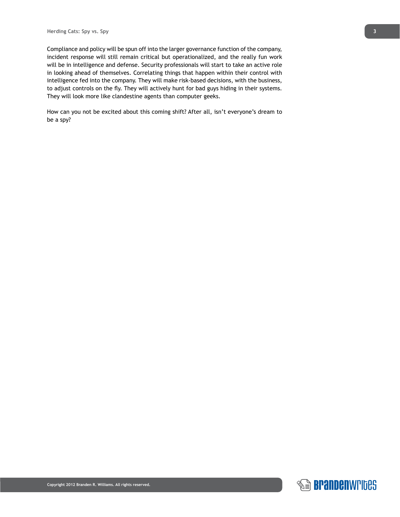Compliance and policy will be spun off into the larger governance function of the company, incident response will still remain critical but operationalized, and the really fun work will be in intelligence and defense. Security professionals will start to take an active role in looking ahead of themselves. Correlating things that happen within their control with intelligence fed into the company. They will make risk-based decisions, with the business, to adjust controls on the fly. They will actively hunt for bad guys hiding in their systems. They will look more like clandestine agents than computer geeks.

How can you not be excited about this coming shift? After all, isn't everyone's dream to be a spy?